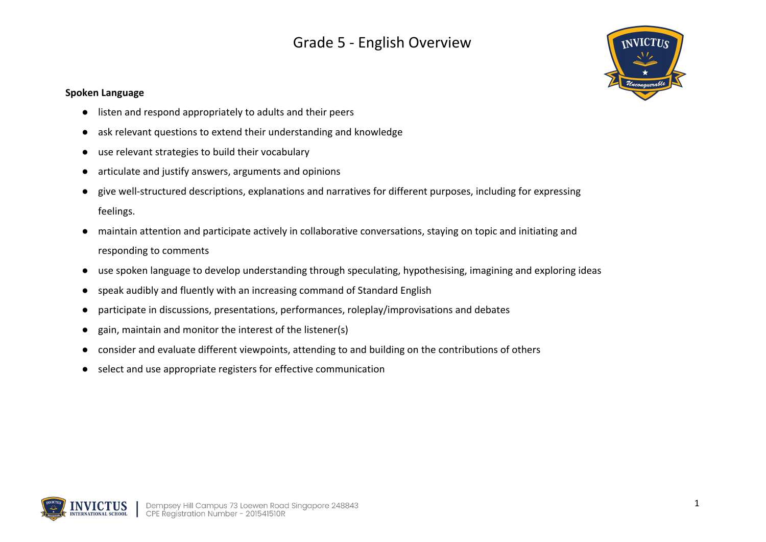

### **Spoken Language**

- listen and respond appropriately to adults and their peers
- ask relevant questions to extend their understanding and knowledge
- use relevant strategies to build their vocabulary
- articulate and justify answers, arguments and opinions
- give well-structured descriptions, explanations and narratives for different purposes, including for expressing feelings.
- maintain attention and participate actively in collaborative conversations, staying on topic and initiating and responding to comments
- use spoken language to develop understanding through speculating, hypothesising, imagining and exploring ideas
- speak audibly and fluently with an increasing command of Standard English
- participate in discussions, presentations, performances, roleplay/improvisations and debates
- gain, maintain and monitor the interest of the listener(s)
- consider and evaluate different viewpoints, attending to and building on the contributions of others
- select and use appropriate registers for effective communication

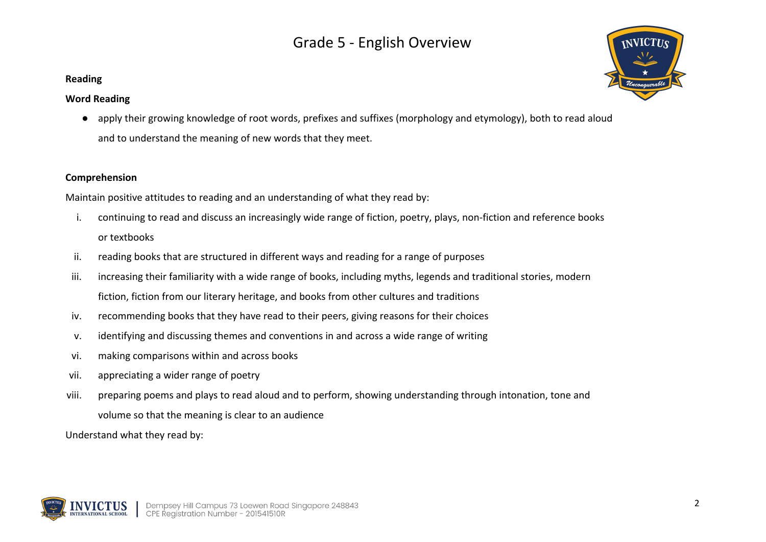### **Reading**

### **Word Reading**

● apply their growing knowledge of root words, prefixes and suffixes (morphology and etymology), both to read aloud and to understand the meaning of new words that they meet.

### **Comprehension**

Maintain positive attitudes to reading and an understanding of what they read by:

- i. continuing to read and discuss an increasingly wide range of fiction, poetry, plays, non-fiction and reference books or textbooks
- ii. reading books that are structured in different ways and reading for a range of purposes
- iii. increasing their familiarity with a wide range of books, including myths, legends and traditional stories, modern fiction, fiction from our literary heritage, and books from other cultures and traditions
- iv. recommending books that they have read to their peers, giving reasons for their choices
- v. identifying and discussing themes and conventions in and across a wide range of writing
- vi. making comparisons within and across books
- vii. appreciating a wider range of poetry
- viii. preparing poems and plays to read aloud and to perform, showing understanding through intonation, tone and volume so that the meaning is clear to an audience

Understand what they read by:



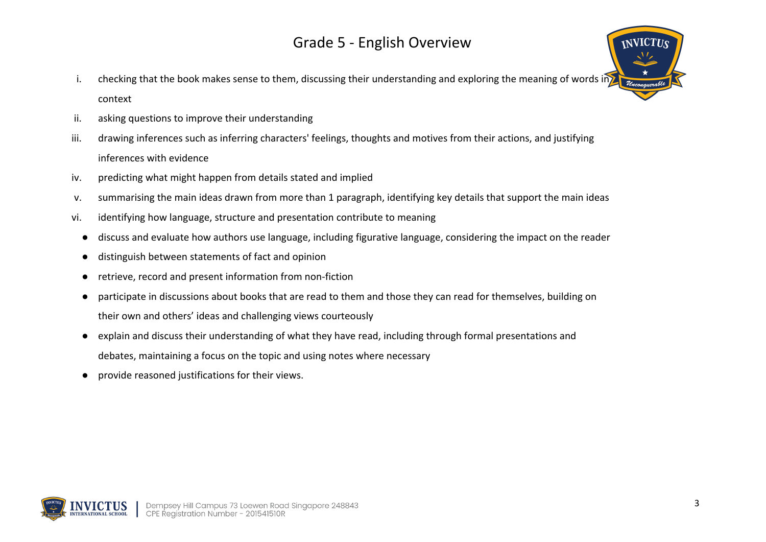- i. checking that the book makes sense to them, discussing their understanding and exploring the meaning of words in context
- ii. asking questions to improve their understanding
- iii. drawing inferences such as inferring characters' feelings, thoughts and motives from their actions, and justifying inferences with evidence
- iv. predicting what might happen from details stated and implied
- v. summarising the main ideas drawn from more than 1 paragraph, identifying key details that support the main ideas
- vi. identifying how language, structure and presentation contribute to meaning
	- discuss and evaluate how authors use language, including figurative language, considering the impact on the reader
	- distinguish between statements of fact and opinion
	- retrieve, record and present information from non-fiction
	- participate in discussions about books that are read to them and those they can read for themselves, building on their own and others' ideas and challenging views courteously
	- explain and discuss their understanding of what they have read, including through formal presentations and debates, maintaining a focus on the topic and using notes where necessary
	- provide reasoned justifications for their views.



**INVICTUS**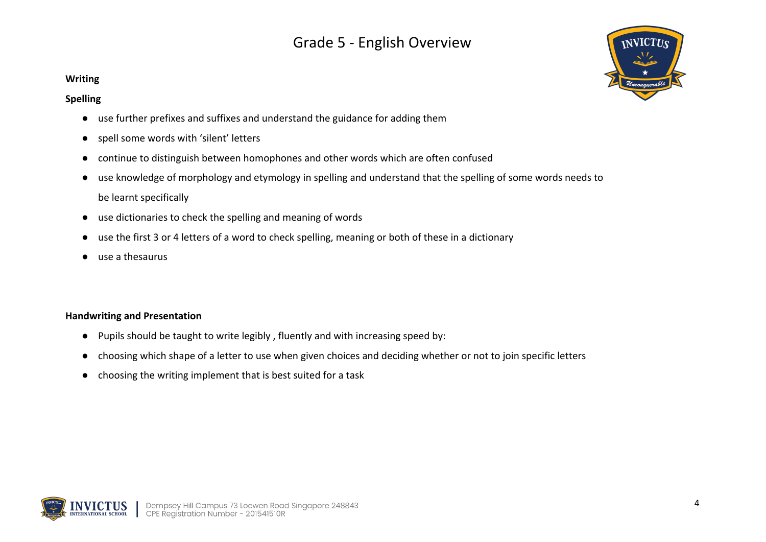#### **Writing**

#### **Spelling**

- use further prefixes and suffixes and understand the guidance for adding them
- spell some words with 'silent' letters
- continue to distinguish between homophones and other words which are often confused
- use knowledge of morphology and etymology in spelling and understand that the spelling of some words needs to be learnt specifically
- use dictionaries to check the spelling and meaning of words
- use the first 3 or 4 letters of a word to check spelling, meaning or both of these in a dictionary
- use a thesaurus

#### **Handwriting and Presentation**

- Pupils should be taught to write legibly , fluently and with increasing speed by:
- choosing which shape of a letter to use when given choices and deciding whether or not to join specific letters
- choosing the writing implement that is best suited for a task



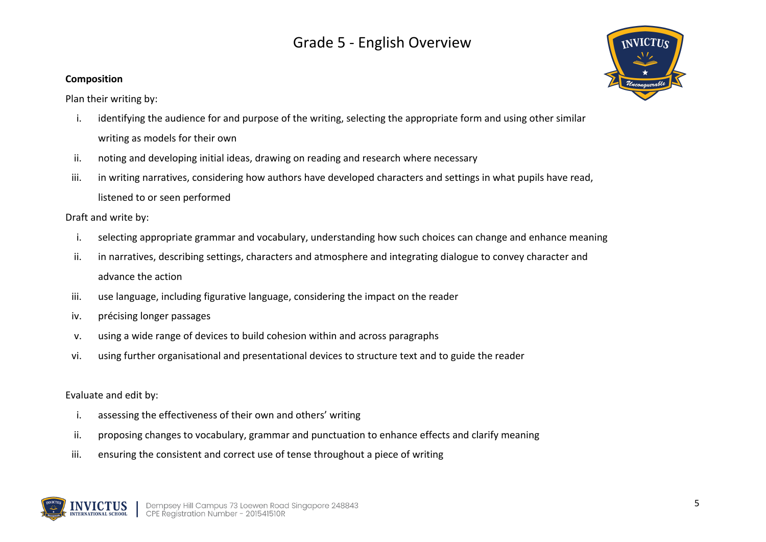### **Composition**

Plan their writing by:

- i. identifying the audience for and purpose of the writing, selecting the appropriate form and using other similar writing as models for their own
- ii. noting and developing initial ideas, drawing on reading and research where necessary
- iii. in writing narratives, considering how authors have developed characters and settings in what pupils have read, listened to or seen performed

Draft and write by:

- i. selecting appropriate grammar and vocabulary, understanding how such choices can change and enhance meaning
- ii. in narratives, describing settings, characters and atmosphere and integrating dialogue to convey character and advance the action
- iii. use language, including figurative language, considering the impact on the reader
- iv. précising longer passages
- v. using a wide range of devices to build cohesion within and across paragraphs
- vi. using further organisational and presentational devices to structure text and to guide the reader

Evaluate and edit by:

- i. assessing the effectiveness of their own and others' writing
- ii. proposing changes to vocabulary, grammar and punctuation to enhance effects and clarify meaning
- iii. ensuring the consistent and correct use of tense throughout a piece of writing



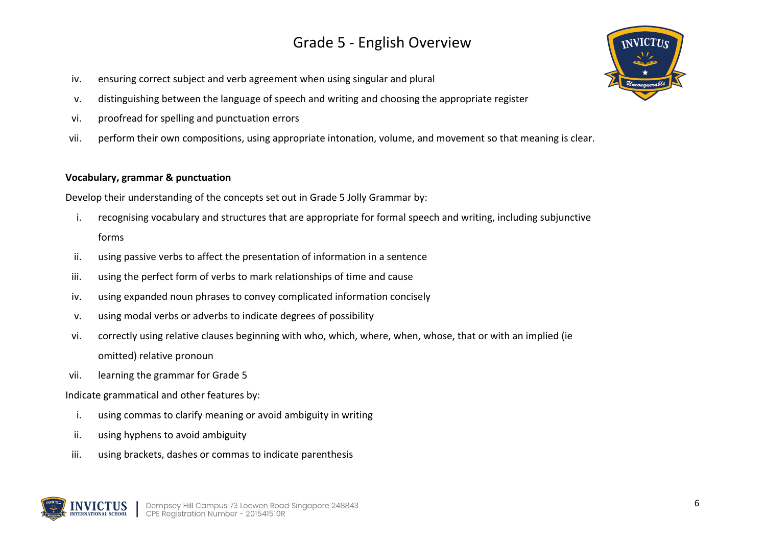- iv. ensuring correct subject and verb agreement when using singular and plural
- v. distinguishing between the language of speech and writing and choosing the appropriate register
- vi. proofread for spelling and punctuation errors
- vii. perform their own compositions, using appropriate intonation, volume, and movement so that meaning is clear.

### **Vocabulary, grammar & punctuation**

Develop their understanding of the concepts set out in Grade 5 Jolly Grammar by:

- i. recognising vocabulary and structures that are appropriate for formal speech and writing, including subjunctive forms
- ii. using passive verbs to affect the presentation of information in a sentence
- iii. using the perfect form of verbs to mark relationships of time and cause
- iv. using expanded noun phrases to convey complicated information concisely
- v. using modal verbs or adverbs to indicate degrees of possibility
- vi. correctly using relative clauses beginning with who, which, where, when, whose, that or with an implied (ie omitted) relative pronoun
- vii. learning the grammar for Grade 5

Indicate grammatical and other features by:

- i. using commas to clarify meaning or avoid ambiguity in writing
- ii. using hyphens to avoid ambiguity
- iii. using brackets, dashes or commas to indicate parenthesis